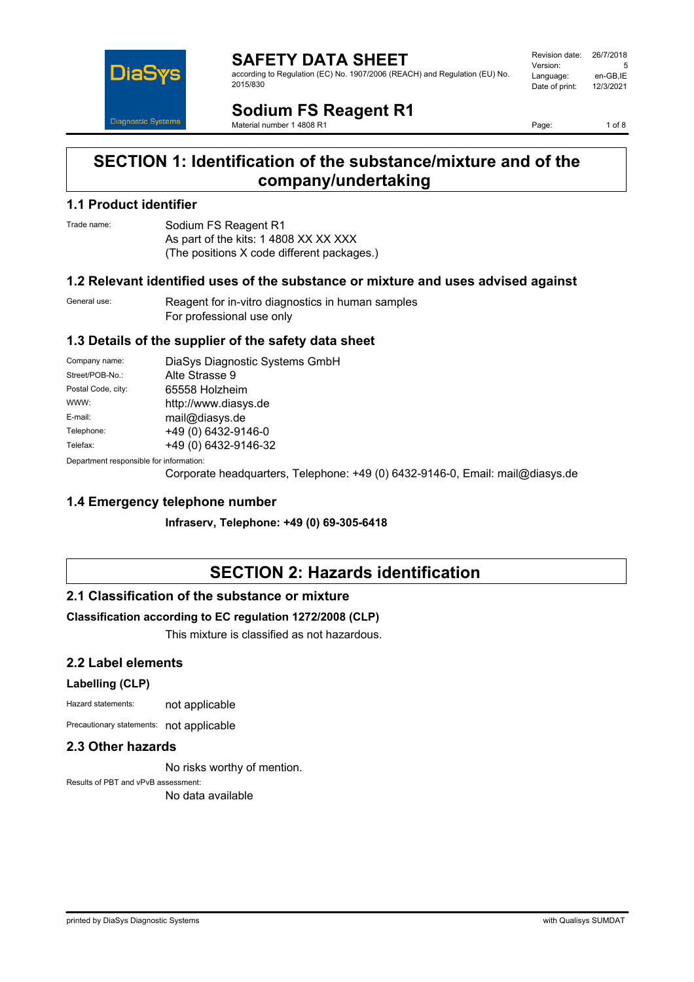

**SAFETY DATA SHEET** according to Regulation (EC) No. 1907/2006 (REACH) and Regulation (EU) No. 2015/830

| Revision date: | 26/7/2018 |
|----------------|-----------|
| Version:       | 5         |
| Language:      | en-GB,IE  |
| Date of print: | 12/3/2021 |
|                |           |

**Sodium FS Reagent R1** Material number 1 4808 R1

Page: 1 of 8

# **SECTION 1: Identification of the substance/mixture and of the company/undertaking**

#### **1.1 Product identifier**

Trade name: Sodium FS Reagent R1 As part of the kits: 1 4808 XX XX XXX (The positions X code different packages.)

## **1.2 Relevant identified uses of the substance or mixture and uses advised against**

General use: Reagent for in-vitro diagnostics in human samples For professional use only

## **1.3 Details of the supplier of the safety data sheet**

| Company name:                            | DiaSys Diagnostic Systems GmbH |
|------------------------------------------|--------------------------------|
| Street/POB-No.:                          | Alte Strasse 9                 |
| Postal Code, city:                       | 65558 Holzheim                 |
| WWW:                                     | http://www.diasys.de           |
| E-mail:                                  | mail@diasys.de                 |
| Telephone:                               | +49 (0) 6432-9146-0            |
| Telefax:                                 | +49 (0) 6432-9146-32           |
| Denestraent seanenaikle fas information: |                                |

Department responsible for information:

Corporate headquarters, Telephone: +49 (0) 6432-9146-0, Email: mail@diasys.de

## **1.4 Emergency telephone number**

**Infraserv, Telephone: +49 (0) 69-305-6418**

# **SECTION 2: Hazards identification**

## **2.1 Classification of the substance or mixture**

#### **Classification according to EC regulation 1272/2008 (CLP)**

This mixture is classified as not hazardous.

## **2.2 Label elements**

#### **Labelling (CLP)**

Hazard statements: not applicable

Precautionary statements: not applicable

#### **2.3 Other hazards**

No risks worthy of mention.

Results of PBT and vPvB assessment: No data available

printed by DiaSys Diagnostic Systems with Qualisys SUMDAT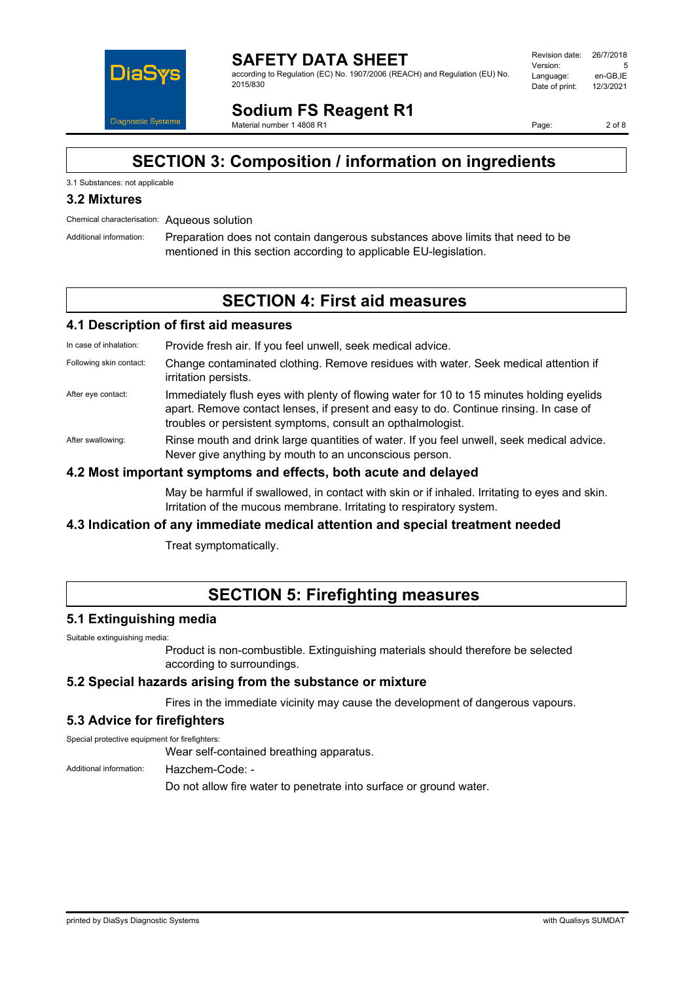

**SAFETY DATA SHEET** according to Regulation (EC) No. 1907/2006 (REACH) and Regulation (EU) No. 2015/830

| Revision date: | 26/7/2018 |
|----------------|-----------|
| Version:       | 5         |
| Language:      | en-GB.IE  |
| Date of print: | 12/3/2021 |
|                |           |

**Sodium FS Reagent R1** Material number 1 4808 R1

Page: 2 of 8

# **SECTION 3: Composition / information on ingredients**

## 3.1 Substances: not applicable

## **3.2 Mixtures**

Chemical characterisation: Aqueous solution

Additional information: Preparation does not contain dangerous substances above limits that need to be mentioned in this section according to applicable EU-legislation.

# **SECTION 4: First aid measures**

#### **4.1 Description of first aid measures**

In case of inhalation: Provide fresh air. If you feel unwell, seek medical advice.

- Following skin contact: Change contaminated clothing. Remove residues with water. Seek medical attention if irritation persists.
- After eye contact: Immediately flush eyes with plenty of flowing water for 10 to 15 minutes holding eyelids apart. Remove contact lenses, if present and easy to do. Continue rinsing. In case of troubles or persistent symptoms, consult an opthalmologist.
- After swallowing: Rinse mouth and drink large quantities of water. If you feel unwell, seek medical advice. Never give anything by mouth to an unconscious person.

#### **4.2 Most important symptoms and effects, both acute and delayed**

May be harmful if swallowed, in contact with skin or if inhaled. Irritating to eyes and skin. Irritation of the mucous membrane. Irritating to respiratory system.

## **4.3 Indication of any immediate medical attention and special treatment needed**

Treat symptomatically.

# **SECTION 5: Firefighting measures**

#### **5.1 Extinguishing media**

Suitable extinguishing media:

Product is non-combustible. Extinguishing materials should therefore be selected according to surroundings.

#### **5.2 Special hazards arising from the substance or mixture**

Fires in the immediate vicinity may cause the development of dangerous vapours.

#### **5.3 Advice for firefighters**

Special protective equipment for firefighters:

Wear self-contained breathing apparatus.

Additional information: Hazchem-Code: -

Do not allow fire water to penetrate into surface or ground water.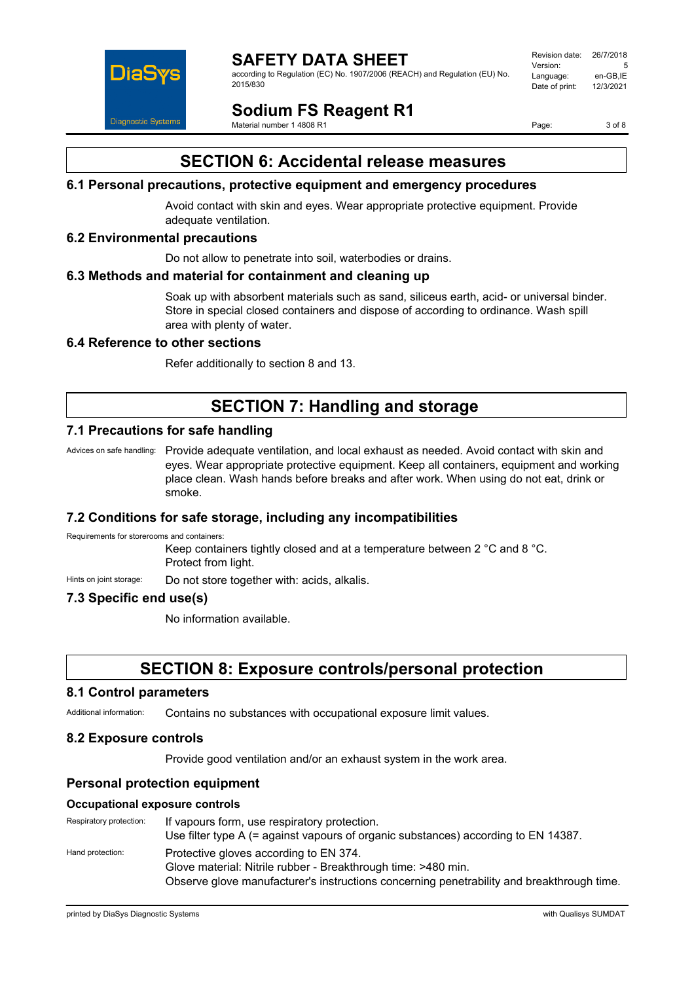

according to Regulation (EC) No. 1907/2006 (REACH) and Regulation (EU) No. 2015/830

| Revision date: | 26/7/2018 |
|----------------|-----------|
| Version:       | 5         |
| Language:      | en-GB.IE  |
| Date of print: | 12/3/2021 |
|                |           |

**Sodium FS Reagent R1** Material number 1 4808 R1

Page: 3 of 8

# **SECTION 6: Accidental release measures**

## **6.1 Personal precautions, protective equipment and emergency procedures**

Avoid contact with skin and eyes. Wear appropriate protective equipment. Provide adequate ventilation.

## **6.2 Environmental precautions**

Do not allow to penetrate into soil, waterbodies or drains.

#### **6.3 Methods and material for containment and cleaning up**

Soak up with absorbent materials such as sand, siliceus earth, acid- or universal binder. Store in special closed containers and dispose of according to ordinance. Wash spill area with plenty of water.

## **6.4 Reference to other sections**

Refer additionally to section 8 and 13.

# **SECTION 7: Handling and storage**

## **7.1 Precautions for safe handling**

Advices on safe handling: Provide adequate ventilation, and local exhaust as needed. Avoid contact with skin and eyes. Wear appropriate protective equipment. Keep all containers, equipment and working place clean. Wash hands before breaks and after work. When using do not eat, drink or smoke.

#### **7.2 Conditions for safe storage, including any incompatibilities**

Requirements for storerooms and containers:

Keep containers tightly closed and at a temperature between 2 °C and 8 °C. Protect from light.

Hints on joint storage: Do not store together with: acids, alkalis.

## **7.3 Specific end use(s)**

No information available.

# **SECTION 8: Exposure controls/personal protection**

#### **8.1 Control parameters**

Additional information: Contains no substances with occupational exposure limit values.

#### **8.2 Exposure controls**

Provide good ventilation and/or an exhaust system in the work area.

#### **Personal protection equipment**

#### **Occupational exposure controls**

Respiratory protection: If vapours form, use respiratory protection. Use filter type A (= against vapours of organic substances) according to EN 14387. Hand protection: Protective gloves according to EN 374. Glove material: Nitrile rubber - Breakthrough time: >480 min. Observe glove manufacturer's instructions concerning penetrability and breakthrough time.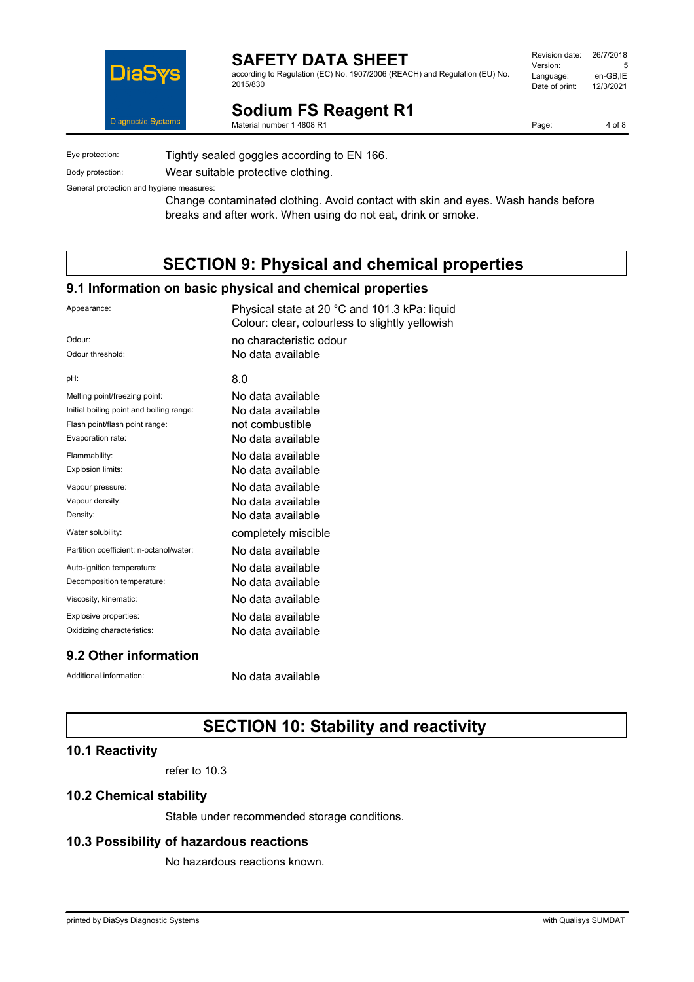

according to Regulation (EC) No. 1907/2006 (REACH) and Regulation (EU) No. 2015/830

| Revision date: | 26/7/2018 |
|----------------|-----------|
|                |           |
| Version:       | 5         |
| Language:      | en-GB.IE  |
| Date of print: | 12/3/2021 |
|                |           |

**Sodium FS Reagent R1** Material number 1 4808 R1

Page: 4 of 8

Eye protection: Tightly sealed goggles according to EN 166. Body protection: Wear suitable protective clothing.

General protection and hygiene measures: Change contaminated clothing. Avoid contact with skin and eyes. Wash hands before

breaks and after work. When using do not eat, drink or smoke.

# **SECTION 9: Physical and chemical properties**

## **9.1 Information on basic physical and chemical properties**

| Appearance:                              | Physical state at 20 °C and 101.3 kPa: liquid<br>Colour: clear, colourless to slightly yellowish |
|------------------------------------------|--------------------------------------------------------------------------------------------------|
| Odour:                                   | no characteristic odour                                                                          |
| Odour threshold:                         | No data available                                                                                |
| pH:                                      | 8.0                                                                                              |
| Melting point/freezing point:            | No data available                                                                                |
| Initial boiling point and boiling range: | No data available                                                                                |
| Flash point/flash point range:           | not combustible                                                                                  |
| Evaporation rate:                        | No data available                                                                                |
| Flammability:                            | No data available                                                                                |
| Explosion limits:                        | No data available                                                                                |
| Vapour pressure:                         | No data available                                                                                |
| Vapour density:                          | No data available                                                                                |
| Density:                                 | No data available                                                                                |
| Water solubility:                        | completely miscible                                                                              |
| Partition coefficient: n-octanol/water:  | No data available                                                                                |
| Auto-ignition temperature:               | No data available                                                                                |
| Decomposition temperature:               | No data available                                                                                |
| Viscosity, kinematic:                    | No data available                                                                                |
| Explosive properties:                    | No data available                                                                                |
| Oxidizing characteristics:               | No data available                                                                                |
| 9.2 Other information                    |                                                                                                  |

Additional information: No data available

# **SECTION 10: Stability and reactivity**

## **10.1 Reactivity**

refer to 10.3

## **10.2 Chemical stability**

Stable under recommended storage conditions.

## **10.3 Possibility of hazardous reactions**

No hazardous reactions known.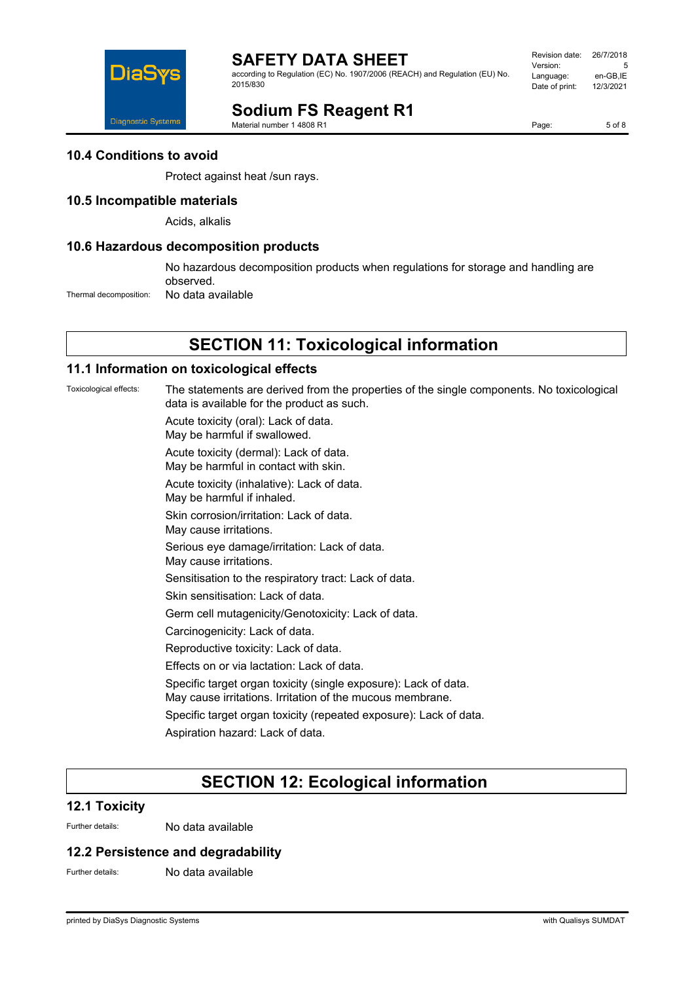

according to Regulation (EC) No. 1907/2006 (REACH) and Regulation (EU) No. 2015/830

| Revision date: | 26/7/2018 |
|----------------|-----------|
| Version:       | 5         |
| Language:      | en-GB,IE  |
| Date of print: | 12/3/2021 |
|                |           |

# **Sodium FS Reagent R1**

Material number 1 4808 R1

Page: 5 of 8

**10.4 Conditions to avoid**

Protect against heat /sun rays.

#### **10.5 Incompatible materials**

Acids, alkalis

#### **10.6 Hazardous decomposition products**

No hazardous decomposition products when regulations for storage and handling are observed.

Thermal decomposition: No data available

# **SECTION 11: Toxicological information**

#### **11.1 Information on toxicological effects**

Toxicological effects: The statements are derived from the properties of the single components. No toxicological data is available for the product as such.

Acute toxicity (oral): Lack of data.

May be harmful if swallowed.

Acute toxicity (dermal): Lack of data. May be harmful in contact with skin.

Acute toxicity (inhalative): Lack of data.

May be harmful if inhaled.

Skin corrosion/irritation: Lack of data.

May cause irritations.

Serious eye damage/irritation: Lack of data.

May cause irritations.

Sensitisation to the respiratory tract: Lack of data.

Skin sensitisation: Lack of data.

Germ cell mutagenicity/Genotoxicity: Lack of data.

Carcinogenicity: Lack of data.

Reproductive toxicity: Lack of data.

Effects on or via lactation: Lack of data.

Specific target organ toxicity (single exposure): Lack of data.

May cause irritations. Irritation of the mucous membrane.

Specific target organ toxicity (repeated exposure): Lack of data.

Aspiration hazard: Lack of data.

# **SECTION 12: Ecological information**

#### **12.1 Toxicity**

Further details: No data available

## **12.2 Persistence and degradability**

Further details: No data available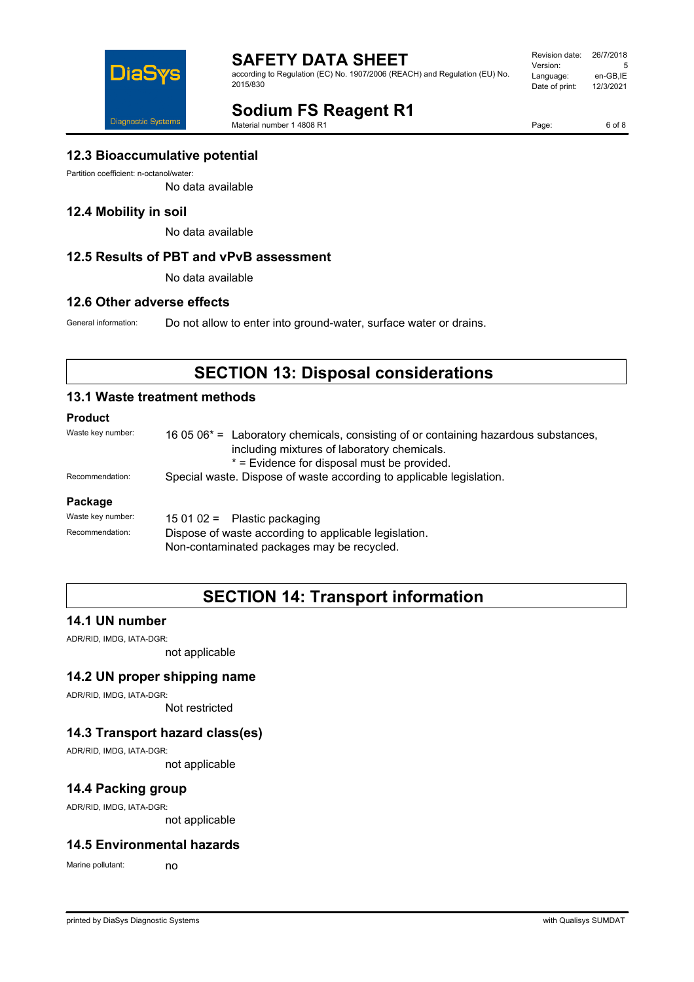

according to Regulation (EC) No. 1907/2006 (REACH) and Regulation (EU) No. 2015/830

| Revision date: | 26/7/2018 |
|----------------|-----------|
| Version:       | 5         |
| Language:      | en-GB.IE  |
| Date of print: | 12/3/2021 |
|                |           |

# **Sodium FS Reagent R1**

Material number 1 4808 R1

Page: 6 of 8

## **12.3 Bioaccumulative potential**

Partition coefficient: n-octanol/water:

No data available

## **12.4 Mobility in soil**

No data available

## **12.5 Results of PBT and vPvB assessment**

No data available

#### **12.6 Other adverse effects**

General information: Do not allow to enter into ground-water, surface water or drains.

# **SECTION 13: Disposal considerations**

## **13.1 Waste treatment methods**

## **Product**

| Waste key number: | 16 05 06 <sup>*</sup> = Laboratory chemicals, consisting of or containing hazardous substances,<br>including mixtures of laboratory chemicals.<br>* = Evidence for disposal must be provided. |
|-------------------|-----------------------------------------------------------------------------------------------------------------------------------------------------------------------------------------------|
| Recommendation:   | Special waste. Dispose of waste according to applicable legislation.                                                                                                                          |
| Package           |                                                                                                                                                                                               |
| Waste key number: | $150102 =$ Plastic packaging                                                                                                                                                                  |
| Recommendation:   | Dispose of waste according to applicable legislation.                                                                                                                                         |

Non-contaminated packages may be recycled.

# **SECTION 14: Transport information**

## **14.1 UN number**

ADR/RID, IMDG, IATA-DGR:

not applicable

#### **14.2 UN proper shipping name**

ADR/RID, IMDG, IATA-DGR:

Not restricted

## **14.3 Transport hazard class(es)**

ADR/RID, IMDG, IATA-DGR:

not applicable

## **14.4 Packing group**

ADR/RID, IMDG, IATA-DGR:

not applicable

#### **14.5 Environmental hazards**

Marine pollutant: no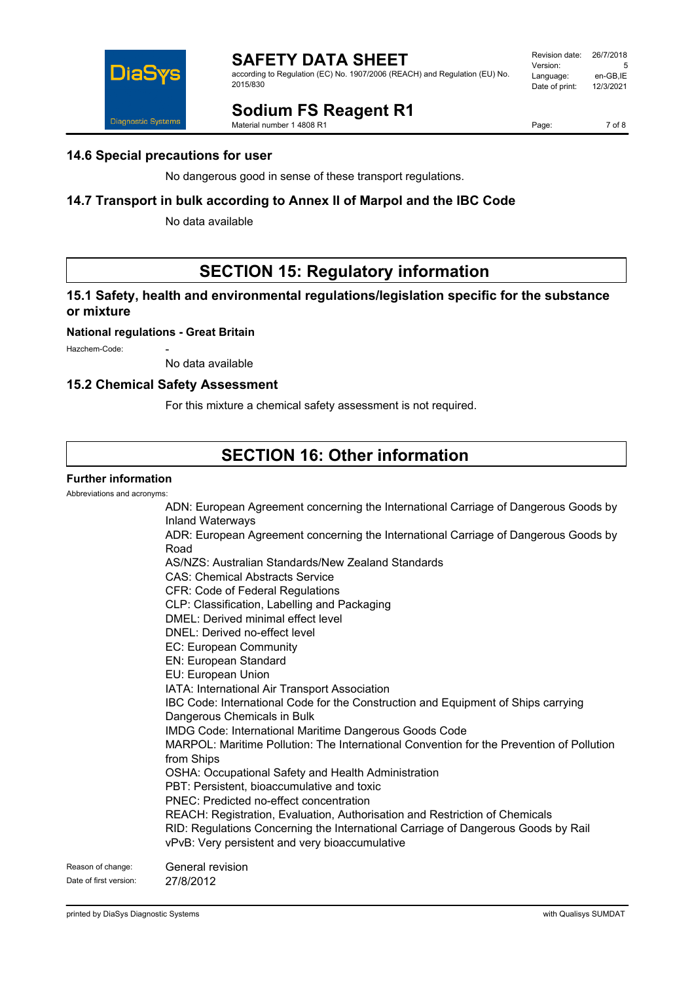

Revision date: 26/7/2018 Version: 5 Language: en-GB,IE<br>Date of print: 12/3/2021 Date of print:

# DiaS Diagnostic Systems

**Sodium FS Reagent R1**

Material number 1 4808 R1

Page: 7 of 8

# **14.6 Special precautions for user**

No dangerous good in sense of these transport regulations.

# **14.7 Transport in bulk according to Annex II of Marpol and the IBC Code**

No data available

# **SECTION 15: Regulatory information**

# **15.1 Safety, health and environmental regulations/legislation specific for the substance or mixture**

**National regulations - Great Britain**

Hazchem-Code:

No data available

## **15.2 Chemical Safety Assessment**

For this mixture a chemical safety assessment is not required.

# **SECTION 16: Other information**

## **Further information**

Abbreviations and acronyms:

ADN: European Agreement concerning the International Carriage of Dangerous Goods by Inland Waterways ADR: European Agreement concerning the International Carriage of Dangerous Goods by Road AS/NZS: Australian Standards/New Zealand Standards CAS: Chemical Abstracts Service CFR: Code of Federal Regulations CLP: Classification, Labelling and Packaging DMEL: Derived minimal effect level DNEL: Derived no-effect level EC: European Community EN: European Standard EU: European Union IATA: International Air Transport Association IBC Code: International Code for the Construction and Equipment of Ships carrying Dangerous Chemicals in Bulk IMDG Code: International Maritime Dangerous Goods Code MARPOL: Maritime Pollution: The International Convention for the Prevention of Pollution from Ships OSHA: Occupational Safety and Health Administration PBT: Persistent, bioaccumulative and toxic PNEC: Predicted no-effect concentration REACH: Registration, Evaluation, Authorisation and Restriction of Chemicals RID: Regulations Concerning the International Carriage of Dangerous Goods by Rail vPvB: Very persistent and very bioaccumulative Reason of change: General revision Date of first version: 27/8/2012